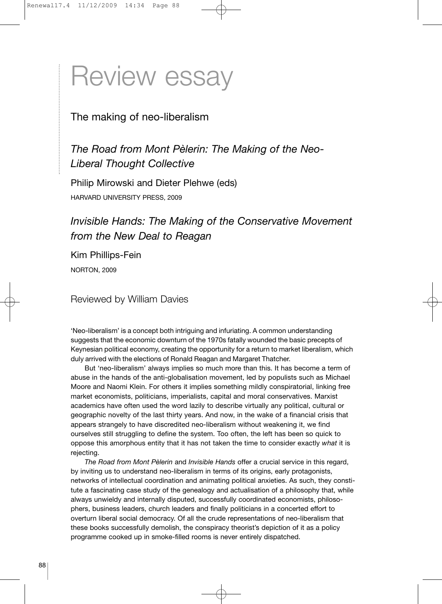# Review essay

### The making of neo-liberalism

*The Road from Mont Pèlerin: The Making of the Neo-Liberal Thought Collective*

Philip Mirowski and Dieter Plehwe (eds) HARVARD UNIVERSITY PRESS, 2009

## *Invisible Hands: The Making of the Conservative Movement from the New Deal to Reagan*

Kim Phillips-Fein NORTON, 2009

Reviewed by William Davies

'Neo-liberalism' is a concept both intriguing and infuriating. A common understanding suggests that the economic downturn of the 1970s fatally wounded the basic precepts of Keynesian political economy, creating the opportunity for a return to market liberalism, which duly arrived with the elections of Ronald Reagan and Margaret Thatcher.

But 'neo-liberalism' always implies so much more than this. It has become a term of abuse in the hands of the anti-globalisation movement, led by populists such as Michael Moore and Naomi Klein. For others it implies something mildly conspiratorial, linking free market economists, politicians, imperialists, capital and moral conservatives. Marxist academics have often used the word lazily to describe virtually any political, cultural or geographic novelty of the last thirty years. And now, in the wake of a financial crisis that appears strangely to have discredited neo-liberalism without weakening it, we find ourselves still struggling to define the system. Too often, the left has been so quick to oppose this amorphous entity that it has not taken the time to consider exactly *what* it is rejecting.

*The Road from Mont Pèlerin* and *Invisible Hands* offer a crucial service in this regard, by inviting us to understand neo-liberalism in terms of its origins, early protagonists, networks of intellectual coordination and animating political anxieties. As such, they constitute a fascinating case study of the genealogy and actualisation of a philosophy that, while always unwieldy and internally disputed, successfully coordinated economists, philosophers, business leaders, church leaders and finally politicians in a concerted effort to overturn liberal social democracy. Of all the crude representations of neo-liberalism that these books successfully demolish, the conspiracy theorist's depiction of it as a policy programme cooked up in smoke-filled rooms is never entirely dispatched.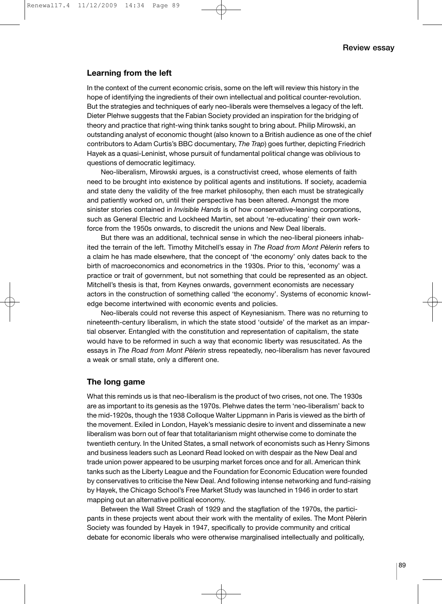#### **Learning from the left**

In the context of the current economic crisis, some on the left will review this history in the hope of identifying the ingredients of their own intellectual and political counter-revolution. But the strategies and techniques of early neo-liberals were themselves a legacy of the left. Dieter Plehwe suggests that the Fabian Society provided an inspiration for the bridging of theory and practice that right-wing think tanks sought to bring about. Philip Mirowski, an outstanding analyst of economic thought (also known to a British audience as one of the chief contributors to Adam Curtis's BBC documentary, *The Trap*) goes further, depicting Friedrich Hayek as a quasi-Leninist, whose pursuit of fundamental political change was oblivious to questions of democratic legitimacy.

Neo-liberalism, Mirowski argues, is a constructivist creed, whose elements of faith need to be brought into existence by political agents and institutions. If society, academia and state deny the validity of the free market philosophy, then each must be strategically and patiently worked on, until their perspective has been altered. Amongst the more sinister stories contained in *Invisible Hands* is of how conservative-leaning corporations, such as General Electric and Lockheed Martin, set about 're-educating' their own workforce from the 1950s onwards, to discredit the unions and New Deal liberals.

But there was an additional, technical sense in which the neo-liberal pioneers inhabited the terrain of the left. Timothy Mitchell's essay in *The Road from Mont Pèlerin* refers to a claim he has made elsewhere, that the concept of 'the economy' only dates back to the birth of macroeconomics and econometrics in the 1930s. Prior to this, 'economy' was a practice or trait of government, but not something that could be represented as an object. Mitchell's thesis is that, from Keynes onwards, government economists are necessary actors in the construction of something called 'the economy'. Systems of economic knowledge become intertwined with economic events and policies.

Neo-liberals could not reverse this aspect of Keynesianism. There was no returning to nineteenth-century liberalism, in which the state stood 'outside' of the market as an impartial observer. Entangled with the constitution and representation of capitalism, the state would have to be reformed in such a way that economic liberty was resuscitated. As the essays in *The Road from Mont Pèlerin* stress repeatedly, neo-liberalism has never favoured a weak or small state, only a different one.

#### **The long game**

What this reminds us is that neo-liberalism is the product of two crises, not one. The 1930s are as important to its genesis as the 1970s. Plehwe dates the term 'neo-liberalism' back to the mid-1920s, though the 1938 Colloque Walter Lippmann in Paris is viewed as the birth of the movement. Exiled in London, Hayek's messianic desire to invent and disseminate a new liberalism was born out of fear that totalitarianism might otherwise come to dominate the twentieth century. In the United States, a small network of economists such as Henry Simons and business leaders such as Leonard Read looked on with despair as the New Deal and trade union power appeared to be usurping market forces once and for all. American think tanks such as the Liberty League and the Foundation for Economic Education were founded by conservatives to criticise the New Deal. And following intense networking and fund-raising by Hayek, the Chicago School's Free Market Study was launched in 1946 in order to start mapping out an alternative political economy.

Between the Wall Street Crash of 1929 and the stagflation of the 1970s, the participants in these projects went about their work with the mentality of exiles. The Mont Pèlerin Society was founded by Hayek in 1947, specifically to provide community and critical debate for economic liberals who were otherwise marginalised intellectually and politically,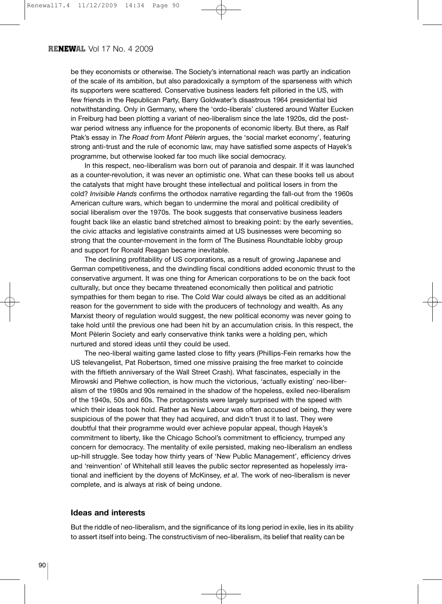#### **RENEWAL** Vol 17 No. 4 2009

be they economists or otherwise. The Society's international reach was partly an indication of the scale of its ambition, but also paradoxically a symptom of the sparseness with which its supporters were scattered. Conservative business leaders felt pilloried in the US, with few friends in the Republican Party, Barry Goldwater's disastrous 1964 presidential bid notwithstanding. Only in Germany, where the 'ordo-liberals' clustered around Walter Eucken in Freiburg had been plotting a variant of neo-liberalism since the late 1920s, did the postwar period witness any influence for the proponents of economic liberty. But there, as Ralf Ptak's essay in *The Road from Mont Pèlerin* argues, the 'social market economy', featuring strong anti-trust and the rule of economic law, may have satisfied some aspects of Hayek's programme, but otherwise looked far too much like social democracy.

In this respect, neo-liberalism was born out of paranoia and despair. If it was launched as a counter-revolution, it was never an optimistic one. What can these books tell us about the catalysts that might have brought these intellectual and political losers in from the cold? *Invisible Hands* confirms the orthodox narrative regarding the fall-out from the 1960s American culture wars, which began to undermine the moral and political credibility of social liberalism over the 1970s. The book suggests that conservative business leaders fought back like an elastic band stretched almost to breaking point: by the early seventies, the civic attacks and legislative constraints aimed at US businesses were becoming so strong that the counter-movement in the form of The Business Roundtable lobby group and support for Ronald Reagan became inevitable.

The declining profitability of US corporations, as a result of growing Japanese and German competitiveness, and the dwindling fiscal conditions added economic thrust to the conservative argument. It was one thing for American corporations to be on the back foot culturally, but once they became threatened economically then political and patriotic sympathies for them began to rise. The Cold War could always be cited as an additional reason for the government to side with the producers of technology and wealth. As any Marxist theory of regulation would suggest, the new political economy was never going to take hold until the previous one had been hit by an accumulation crisis. In this respect, the Mont Pèlerin Society and early conservative think tanks were a holding pen, which nurtured and stored ideas until they could be used.

The neo-liberal waiting game lasted close to fifty years (Phillips-Fein remarks how the US televangelist, Pat Robertson, timed one missive praising the free market to coincide with the fiftieth anniversary of the Wall Street Crash). What fascinates, especially in the Mirowski and Plehwe collection, is how much the victorious, 'actually existing' neo-liberalism of the 1980s and 90s remained in the shadow of the hopeless, exiled neo-liberalism of the 1940s, 50s and 60s. The protagonists were largely surprised with the speed with which their ideas took hold. Rather as New Labour was often accused of being, they were suspicious of the power that they had acquired, and didn't trust it to last. They were doubtful that their programme would ever achieve popular appeal, though Hayek's commitment to liberty, like the Chicago School's commitment to efficiency, trumped any concern for democracy. The mentality of exile persisted, making neo-liberalism an endless up-hill struggle. See today how thirty years of 'New Public Management', efficiency drives and 'reinvention' of Whitehall still leaves the public sector represented as hopelessly irrational and inefficient by the doyens of McKinsey, *et al*. The work of neo-liberalism is never complete, and is always at risk of being undone.

#### **Ideas and interests**

But the riddle of neo-liberalism, and the significance of its long period in exile, lies in its ability to assert itself into being. The constructivism of neo-liberalism, its belief that reality can be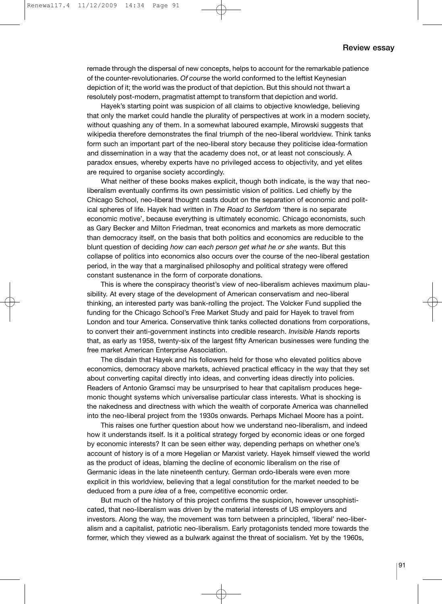remade through the dispersal of new concepts, helps to account for the remarkable patience of the counter-revolutionaries. *Of course* the world conformed to the leftist Keynesian depiction of it; the world was the product of that depiction. But this should not thwart a resolutely post-modern, pragmatist attempt to transform that depiction and world.

Hayek's starting point was suspicion of all claims to objective knowledge, believing that only the market could handle the plurality of perspectives at work in a modern society, without quashing any of them. In a somewhat laboured example, Mirowski suggests that wikipedia therefore demonstrates the final triumph of the neo-liberal worldview. Think tanks form such an important part of the neo-liberal story because they politicise idea-formation and dissemination in a way that the academy does not, or at least not consciously. A paradox ensues, whereby experts have no privileged access to objectivity, and yet elites are required to organise society accordingly.

What neither of these books makes explicit, though both indicate, is the way that neoliberalism eventually confirms its own pessimistic vision of politics. Led chiefly by the Chicago School, neo-liberal thought casts doubt on the separation of economic and political spheres of life. Hayek had written in *The Road to Serfdom* 'there is no separate economic motive', because everything is ultimately economic. Chicago economists, such as Gary Becker and Milton Friedman, treat economics and markets as more democratic than democracy itself, on the basis that both politics and economics are reducible to the blunt question of deciding *how can each person get what he or she wants*. But this collapse of politics into economics also occurs over the course of the neo-liberal gestation period, in the way that a marginalised philosophy and political strategy were offered constant sustenance in the form of corporate donations.

This is where the conspiracy theorist's view of neo-liberalism achieves maximum plausibility. At every stage of the development of American conservatism and neo-liberal thinking, an interested party was bank-rolling the project. The Volcker Fund supplied the funding for the Chicago School's Free Market Study and paid for Hayek to travel from London and tour America. Conservative think tanks collected donations from corporations, to convert their anti-government instincts into credible research. *Invisible Hands* reports that, as early as 1958, twenty-six of the largest fifty American businesses were funding the free market American Enterprise Association.

The disdain that Hayek and his followers held for those who elevated politics above economics, democracy above markets, achieved practical efficacy in the way that they set about converting capital directly into ideas, and converting ideas directly into policies. Readers of Antonio Gramsci may be unsurprised to hear that capitalism produces hegemonic thought systems which universalise particular class interests. What is shocking is the nakedness and directness with which the wealth of corporate America was channelled into the neo-liberal project from the 1930s onwards. Perhaps Michael Moore has a point.

This raises one further question about how we understand neo-liberalism, and indeed how it understands itself. Is it a political strategy forged by economic ideas or one forged by economic interests? It can be seen either way, depending perhaps on whether one's account of history is of a more Hegelian or Marxist variety. Hayek himself viewed the world as the product of ideas, blaming the decline of economic liberalism on the rise of Germanic ideas in the late nineteenth century. German ordo-liberals were even more explicit in this worldview, believing that a legal constitution for the market needed to be deduced from a pure *idea* of a free, competitive economic order.

But much of the history of this project confirms the suspicion, however unsophisticated, that neo-liberalism was driven by the material interests of US employers and investors. Along the way, the movement was torn between a principled, 'liberal' neo-liberalism and a capitalist, patriotic neo-liberalism. Early protagonists tended more towards the former, which they viewed as a bulwark against the threat of socialism. Yet by the 1960s,